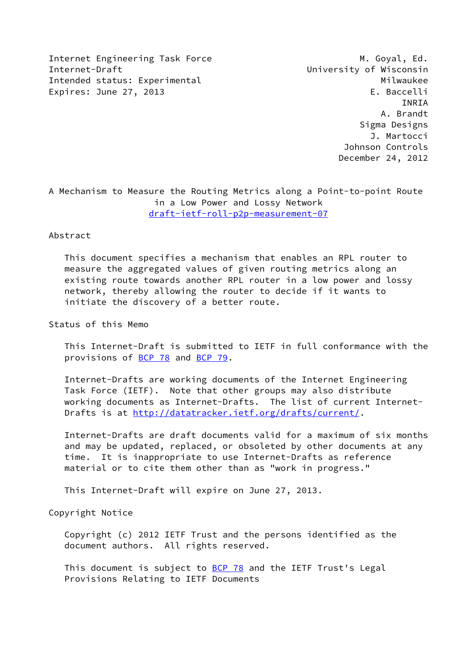Internet Engineering Task Force M. Goyal, Ed. Internet-Draft **Internet-Draft** Construction Construction Construction Construction Construction Construction Con Intended status: Experimental Milwaukee Expires: June 27, 2013 **Expires: E. Baccelli** 

 INRIA A. Brandt Sigma Designs J. Martocci Johnson Controls December 24, 2012

A Mechanism to Measure the Routing Metrics along a Point-to-point Route in a Low Power and Lossy Network [draft-ietf-roll-p2p-measurement-07](https://datatracker.ietf.org/doc/pdf/draft-ietf-roll-p2p-measurement-07)

#### Abstract

 This document specifies a mechanism that enables an RPL router to measure the aggregated values of given routing metrics along an existing route towards another RPL router in a low power and lossy network, thereby allowing the router to decide if it wants to initiate the discovery of a better route.

Status of this Memo

 This Internet-Draft is submitted to IETF in full conformance with the provisions of [BCP 78](https://datatracker.ietf.org/doc/pdf/bcp78) and [BCP 79](https://datatracker.ietf.org/doc/pdf/bcp79).

 Internet-Drafts are working documents of the Internet Engineering Task Force (IETF). Note that other groups may also distribute working documents as Internet-Drafts. The list of current Internet Drafts is at<http://datatracker.ietf.org/drafts/current/>.

 Internet-Drafts are draft documents valid for a maximum of six months and may be updated, replaced, or obsoleted by other documents at any time. It is inappropriate to use Internet-Drafts as reference material or to cite them other than as "work in progress."

This Internet-Draft will expire on June 27, 2013.

Copyright Notice

 Copyright (c) 2012 IETF Trust and the persons identified as the document authors. All rights reserved.

This document is subject to **[BCP 78](https://datatracker.ietf.org/doc/pdf/bcp78)** and the IETF Trust's Legal Provisions Relating to IETF Documents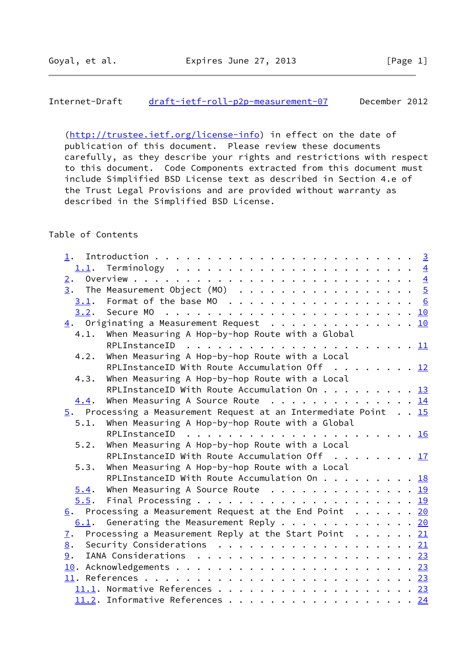[\(http://trustee.ietf.org/license-info](http://trustee.ietf.org/license-info)) in effect on the date of publication of this document. Please review these documents carefully, as they describe your rights and restrictions with respect to this document. Code Components extracted from this document must include Simplified BSD License text as described in Section 4.e of the Trust Legal Provisions and are provided without warranty as described in the Simplified BSD License.

# Table of Contents

| 3.1. |                                                               |                                                                                                                                                                                                                                                                                                                                                                                                                                                                                    |
|------|---------------------------------------------------------------|------------------------------------------------------------------------------------------------------------------------------------------------------------------------------------------------------------------------------------------------------------------------------------------------------------------------------------------------------------------------------------------------------------------------------------------------------------------------------------|
|      |                                                               |                                                                                                                                                                                                                                                                                                                                                                                                                                                                                    |
|      |                                                               |                                                                                                                                                                                                                                                                                                                                                                                                                                                                                    |
| 4.1. | When Measuring A Hop-by-hop Route with a Global               |                                                                                                                                                                                                                                                                                                                                                                                                                                                                                    |
|      |                                                               |                                                                                                                                                                                                                                                                                                                                                                                                                                                                                    |
| 4.2. | When Measuring A Hop-by-hop Route with a Local                |                                                                                                                                                                                                                                                                                                                                                                                                                                                                                    |
|      | RPLInstanceID With Route Accumulation Off $\dots \dots \dots$ |                                                                                                                                                                                                                                                                                                                                                                                                                                                                                    |
| 4.3. | When Measuring A Hop-by-hop Route with a Local                |                                                                                                                                                                                                                                                                                                                                                                                                                                                                                    |
|      |                                                               |                                                                                                                                                                                                                                                                                                                                                                                                                                                                                    |
| 4.4. | When Measuring A Source Route 14                              |                                                                                                                                                                                                                                                                                                                                                                                                                                                                                    |
|      |                                                               |                                                                                                                                                                                                                                                                                                                                                                                                                                                                                    |
| 5.1. | When Measuring A Hop-by-hop Route with a Global               |                                                                                                                                                                                                                                                                                                                                                                                                                                                                                    |
|      | RPLInstanceID                                                 |                                                                                                                                                                                                                                                                                                                                                                                                                                                                                    |
| 5.2. | When Measuring A Hop-by-hop Route with a Local                |                                                                                                                                                                                                                                                                                                                                                                                                                                                                                    |
|      | RPLInstanceID With Route Accumulation Off 17                  |                                                                                                                                                                                                                                                                                                                                                                                                                                                                                    |
| 5.3. | When Measuring A Hop-by-hop Route with a Local                |                                                                                                                                                                                                                                                                                                                                                                                                                                                                                    |
|      | RPLInstanceID With Route Accumulation On 18                   |                                                                                                                                                                                                                                                                                                                                                                                                                                                                                    |
| 5.4. | When Measuring A Source Route $\cdots$ 19                     |                                                                                                                                                                                                                                                                                                                                                                                                                                                                                    |
| 5.5. |                                                               |                                                                                                                                                                                                                                                                                                                                                                                                                                                                                    |
|      |                                                               |                                                                                                                                                                                                                                                                                                                                                                                                                                                                                    |
|      |                                                               |                                                                                                                                                                                                                                                                                                                                                                                                                                                                                    |
|      |                                                               |                                                                                                                                                                                                                                                                                                                                                                                                                                                                                    |
|      |                                                               |                                                                                                                                                                                                                                                                                                                                                                                                                                                                                    |
|      |                                                               |                                                                                                                                                                                                                                                                                                                                                                                                                                                                                    |
|      |                                                               |                                                                                                                                                                                                                                                                                                                                                                                                                                                                                    |
|      |                                                               |                                                                                                                                                                                                                                                                                                                                                                                                                                                                                    |
|      |                                                               |                                                                                                                                                                                                                                                                                                                                                                                                                                                                                    |
|      |                                                               |                                                                                                                                                                                                                                                                                                                                                                                                                                                                                    |
|      | 1.<br>7.<br>8.<br>9.                                          | $\underline{3}$ . The Measurement Object (MO) 5<br>$\underline{4}$ . Originating a Measurement Request 10<br>RPLInstanceID With Route Accumulation On 13<br>5. Processing a Measurement Request at an Intermediate Point 15<br>$6.$ Processing a Measurement Request at the End Point 20<br>$6.1$ . Generating the Measurement Reply 20<br>Processing a Measurement Reply at the Start Point $\ldots$ 21<br>Security Considerations $\ldots$ 21<br>11.2. Informative References 24 |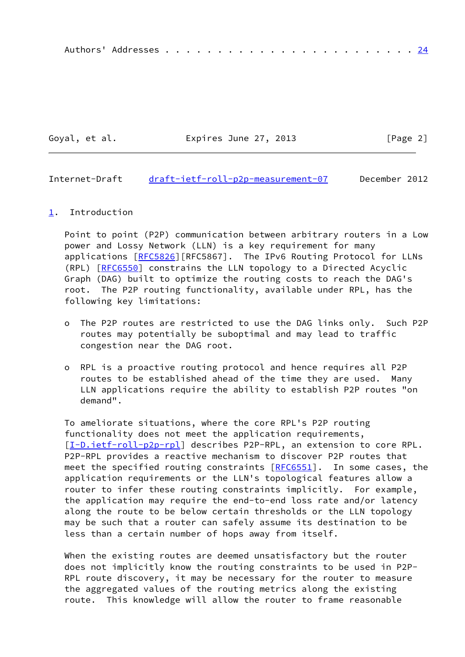|--|--|--|--|--|--|--|--|--|--|--|--|--|--|--|--|--|--|--|--|--|--|--|--|--|--|--|

Goyal, et al. **Expires June 27, 2013** [Page 2]

<span id="page-2-1"></span>Internet-Draft [draft-ietf-roll-p2p-measurement-07](https://datatracker.ietf.org/doc/pdf/draft-ietf-roll-p2p-measurement-07) December 2012

#### <span id="page-2-0"></span>[1](#page-2-0). Introduction

 Point to point (P2P) communication between arbitrary routers in a Low power and Lossy Network (LLN) is a key requirement for many applications [\[RFC5826](https://datatracker.ietf.org/doc/pdf/rfc5826)][RFC5867]. The IPv6 Routing Protocol for LLNs (RPL) [[RFC6550](https://datatracker.ietf.org/doc/pdf/rfc6550)] constrains the LLN topology to a Directed Acyclic Graph (DAG) built to optimize the routing costs to reach the DAG's root. The P2P routing functionality, available under RPL, has the following key limitations:

- o The P2P routes are restricted to use the DAG links only. Such P2P routes may potentially be suboptimal and may lead to traffic congestion near the DAG root.
- o RPL is a proactive routing protocol and hence requires all P2P routes to be established ahead of the time they are used. Many LLN applications require the ability to establish P2P routes "on demand".

 To ameliorate situations, where the core RPL's P2P routing functionality does not meet the application requirements, [\[I-D.ietf-roll-p2p-rpl](#page-4-3)] describes P2P-RPL, an extension to core RPL. P2P-RPL provides a reactive mechanism to discover P2P routes that meet the specified routing constraints  $[REG551]$ . In some cases, the application requirements or the LLN's topological features allow a router to infer these routing constraints implicitly. For example, the application may require the end-to-end loss rate and/or latency along the route to be below certain thresholds or the LLN topology may be such that a router can safely assume its destination to be less than a certain number of hops away from itself.

When the existing routes are deemed unsatisfactory but the router does not implicitly know the routing constraints to be used in P2P- RPL route discovery, it may be necessary for the router to measure the aggregated values of the routing metrics along the existing route. This knowledge will allow the router to frame reasonable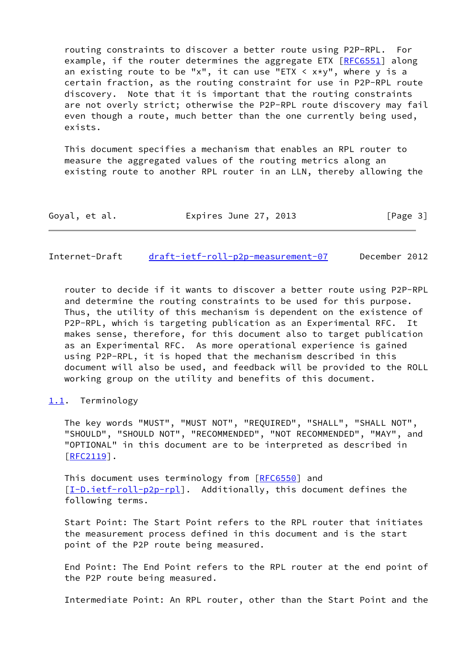routing constraints to discover a better route using P2P-RPL. For example, if the router determines the aggregate ETX [\[RFC6551](https://datatracker.ietf.org/doc/pdf/rfc6551)] along an existing route to be "x", it can use "ETX  $\lt$  x\*y", where y is a certain fraction, as the routing constraint for use in P2P-RPL route discovery. Note that it is important that the routing constraints are not overly strict; otherwise the P2P-RPL route discovery may fail even though a route, much better than the one currently being used, exists.

 This document specifies a mechanism that enables an RPL router to measure the aggregated values of the routing metrics along an existing route to another RPL router in an LLN, thereby allowing the

| Goyal, et al. | Expires June 27, 2013 | [Page 3] |
|---------------|-----------------------|----------|
|---------------|-----------------------|----------|

<span id="page-3-1"></span>Internet-Draft [draft-ietf-roll-p2p-measurement-07](https://datatracker.ietf.org/doc/pdf/draft-ietf-roll-p2p-measurement-07) December 2012

 router to decide if it wants to discover a better route using P2P-RPL and determine the routing constraints to be used for this purpose. Thus, the utility of this mechanism is dependent on the existence of P2P-RPL, which is targeting publication as an Experimental RFC. It makes sense, therefore, for this document also to target publication as an Experimental RFC. As more operational experience is gained using P2P-RPL, it is hoped that the mechanism described in this document will also be used, and feedback will be provided to the ROLL working group on the utility and benefits of this document.

### <span id="page-3-0"></span>[1.1](#page-3-0). Terminology

 The key words "MUST", "MUST NOT", "REQUIRED", "SHALL", "SHALL NOT", "SHOULD", "SHOULD NOT", "RECOMMENDED", "NOT RECOMMENDED", "MAY", and "OPTIONAL" in this document are to be interpreted as described in [\[RFC2119](https://datatracker.ietf.org/doc/pdf/rfc2119)].

This document uses terminology from [\[RFC6550](https://datatracker.ietf.org/doc/pdf/rfc6550)] and [\[I-D.ietf-roll-p2p-rpl](#page-4-3)]. Additionally, this document defines the following terms.

 Start Point: The Start Point refers to the RPL router that initiates the measurement process defined in this document and is the start point of the P2P route being measured.

 End Point: The End Point refers to the RPL router at the end point of the P2P route being measured.

Intermediate Point: An RPL router, other than the Start Point and the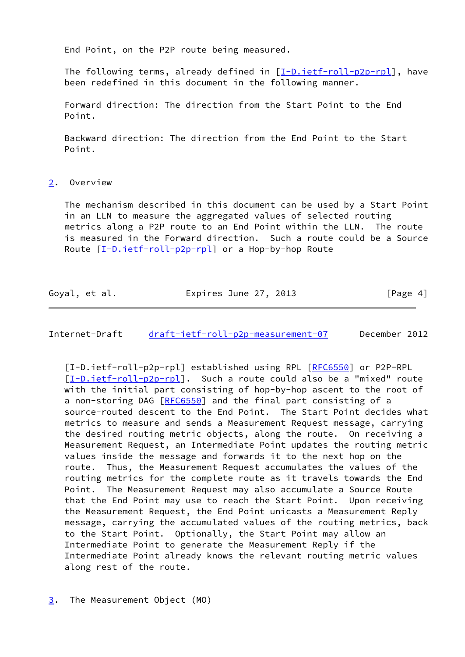End Point, on the P2P route being measured.

 The following terms, already defined in [\[I-D.ietf-roll-p2p-rpl](#page-4-3)], have been redefined in this document in the following manner.

 Forward direction: The direction from the Start Point to the End Point.

 Backward direction: The direction from the End Point to the Start Point.

<span id="page-4-0"></span>[2](#page-4-0). Overview

 The mechanism described in this document can be used by a Start Point in an LLN to measure the aggregated values of selected routing metrics along a P2P route to an End Point within the LLN. The route is measured in the Forward direction. Such a route could be a Source Route [[I-D.ietf-roll-p2p-rpl\]](#page-4-3) or a Hop-by-hop Route

| Goyal, et al. | Expires June 27, 2013 | [Page 4] |
|---------------|-----------------------|----------|
|---------------|-----------------------|----------|

<span id="page-4-2"></span>Internet-Draft [draft-ietf-roll-p2p-measurement-07](https://datatracker.ietf.org/doc/pdf/draft-ietf-roll-p2p-measurement-07) December 2012

<span id="page-4-3"></span><span id="page-4-1"></span>[I-D.ietf-roll-p2p-rpl] established using RPL [[RFC6550](https://datatracker.ietf.org/doc/pdf/rfc6550)] or P2P-RPL [\[I-D.ietf-roll-p2p-rpl](#page-4-3)]. Such a route could also be a "mixed" route with the initial part consisting of hop-by-hop ascent to the root of a non-storing DAG [[RFC6550](https://datatracker.ietf.org/doc/pdf/rfc6550)] and the final part consisting of a source-routed descent to the End Point. The Start Point decides what metrics to measure and sends a Measurement Request message, carrying the desired routing metric objects, along the route. On receiving a Measurement Request, an Intermediate Point updates the routing metric values inside the message and forwards it to the next hop on the route. Thus, the Measurement Request accumulates the values of the routing metrics for the complete route as it travels towards the End Point. The Measurement Request may also accumulate a Source Route that the End Point may use to reach the Start Point. Upon receiving the Measurement Request, the End Point unicasts a Measurement Reply message, carrying the accumulated values of the routing metrics, back to the Start Point. Optionally, the Start Point may allow an Intermediate Point to generate the Measurement Reply if the Intermediate Point already knows the relevant routing metric values along rest of the route.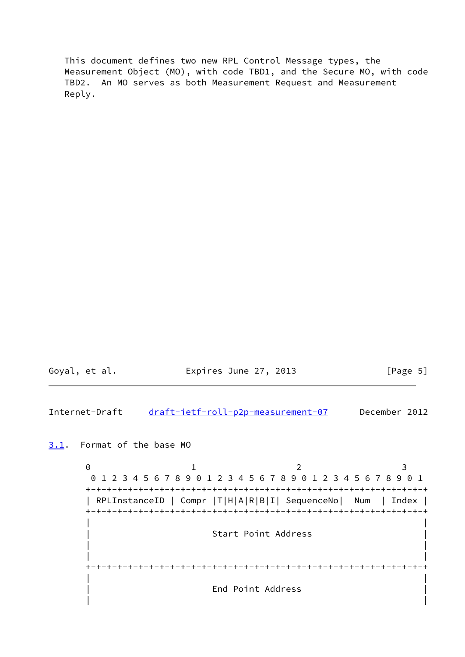This document defines two new RPL Control Message types, the Measurement Object (MO), with code TBD1, and the Secure MO, with code TBD2. An MO serves as both Measurement Request and Measurement Reply.

| Goyal, et al. | Expires June 27, 2013 | [Page 5] |  |
|---------------|-----------------------|----------|--|
|               |                       |          |  |

<span id="page-5-1"></span>Internet-Draft [draft-ietf-roll-p2p-measurement-07](https://datatracker.ietf.org/doc/pdf/draft-ietf-roll-p2p-measurement-07) December 2012

<span id="page-5-0"></span>[3.1](#page-5-0). Format of the base MO

0 1 2 3 0 1 2 3 4 5 6 7 8 9 0 1 2 3 4 5 6 7 8 9 0 1 2 3 4 5 6 7 8 9 0 1 +-+-+-+-+-+-+-+-+-+-+-+-+-+-+-+-+-+-+-+-+-+-+-+-+-+-+-+-+-+-+-+-+ | RPLInstanceID | Compr |T|H|A|R|B|I| SequenceNo| Num | Index | +-+-+-+-+-+-+-+-+-+-+-+-+-+-+-+-+-+-+-+-+-+-+-+-+-+-+-+-+-+-+-+-+ | | Start Point Address | | | | +-+-+-+-+-+-+-+-+-+-+-+-+-+-+-+-+-+-+-+-+-+-+-+-+-+-+-+-+-+-+-+-+ | | | End Point Address | | |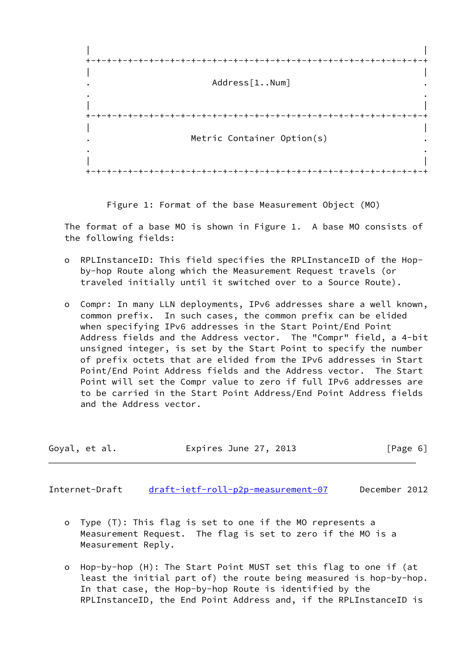

Figure 1: Format of the base Measurement Object (MO)

 The format of a base MO is shown in Figure 1. A base MO consists of the following fields:

- o RPLInstanceID: This field specifies the RPLInstanceID of the Hop by-hop Route along which the Measurement Request travels (or traveled initially until it switched over to a Source Route).
- o Compr: In many LLN deployments, IPv6 addresses share a well known, common prefix. In such cases, the common prefix can be elided when specifying IPv6 addresses in the Start Point/End Point Address fields and the Address vector. The "Compr" field, a 4-bit unsigned integer, is set by the Start Point to specify the number of prefix octets that are elided from the IPv6 addresses in Start Point/End Point Address fields and the Address vector. The Start Point will set the Compr value to zero if full IPv6 addresses are to be carried in the Start Point Address/End Point Address fields and the Address vector.

| Goyal, et al. |  | Expires June 27, 2013 | [Page 6] |  |
|---------------|--|-----------------------|----------|--|
|               |  |                       |          |  |

Internet-Draft [draft-ietf-roll-p2p-measurement-07](https://datatracker.ietf.org/doc/pdf/draft-ietf-roll-p2p-measurement-07) December 2012

- o Type (T): This flag is set to one if the MO represents a Measurement Request. The flag is set to zero if the MO is a Measurement Reply.
- o Hop-by-hop (H): The Start Point MUST set this flag to one if (at least the initial part of) the route being measured is hop-by-hop. In that case, the Hop-by-hop Route is identified by the RPLInstanceID, the End Point Address and, if the RPLInstanceID is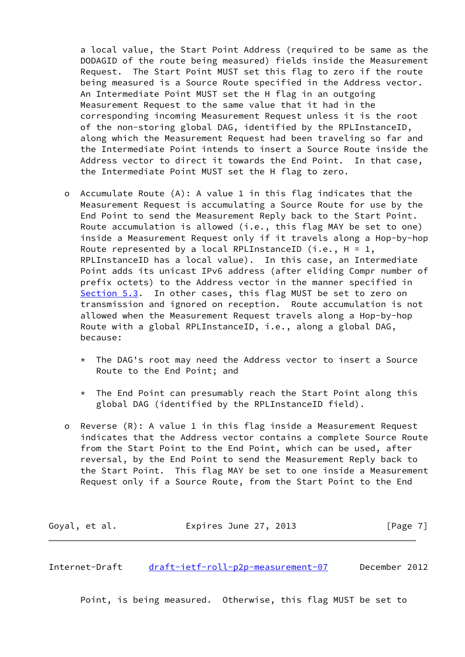a local value, the Start Point Address (required to be same as the DODAGID of the route being measured) fields inside the Measurement Request. The Start Point MUST set this flag to zero if the route being measured is a Source Route specified in the Address vector. An Intermediate Point MUST set the H flag in an outgoing Measurement Request to the same value that it had in the corresponding incoming Measurement Request unless it is the root of the non-storing global DAG, identified by the RPLInstanceID, along which the Measurement Request had been traveling so far and the Intermediate Point intends to insert a Source Route inside the Address vector to direct it towards the End Point. In that case, the Intermediate Point MUST set the H flag to zero.

- o Accumulate Route (A): A value 1 in this flag indicates that the Measurement Request is accumulating a Source Route for use by the End Point to send the Measurement Reply back to the Start Point. Route accumulation is allowed (i.e., this flag MAY be set to one) inside a Measurement Request only if it travels along a Hop-by-hop Route represented by a local RPLInstanceID (i.e.,  $H = 1$ , RPLInstanceID has a local value). In this case, an Intermediate Point adds its unicast IPv6 address (after eliding Compr number of prefix octets) to the Address vector in the manner specified in [Section 5.3](#page-19-1). In other cases, this flag MUST be set to zero on transmission and ignored on reception. Route accumulation is not allowed when the Measurement Request travels along a Hop-by-hop Route with a global RPLInstanceID, i.e., along a global DAG, because:
	- \* The DAG's root may need the Address vector to insert a Source Route to the End Point; and
	- \* The End Point can presumably reach the Start Point along this global DAG (identified by the RPLInstanceID field).
- o Reverse (R): A value 1 in this flag inside a Measurement Request indicates that the Address vector contains a complete Source Route from the Start Point to the End Point, which can be used, after reversal, by the End Point to send the Measurement Reply back to the Start Point. This flag MAY be set to one inside a Measurement Request only if a Source Route, from the Start Point to the End

| Goyal, et al. | Expires June 27, 2013 | [Page 7] |
|---------------|-----------------------|----------|
|---------------|-----------------------|----------|

Internet-Draft [draft-ietf-roll-p2p-measurement-07](https://datatracker.ietf.org/doc/pdf/draft-ietf-roll-p2p-measurement-07) December 2012

Point, is being measured. Otherwise, this flag MUST be set to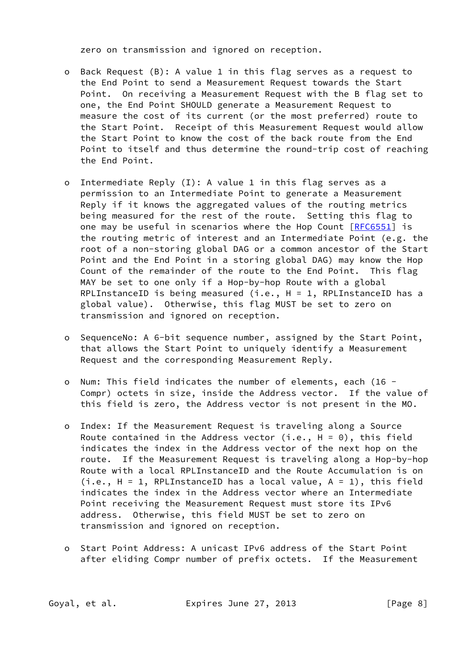zero on transmission and ignored on reception.

- o Back Request (B): A value 1 in this flag serves as a request to the End Point to send a Measurement Request towards the Start Point. On receiving a Measurement Request with the B flag set to one, the End Point SHOULD generate a Measurement Request to measure the cost of its current (or the most preferred) route to the Start Point. Receipt of this Measurement Request would allow the Start Point to know the cost of the back route from the End Point to itself and thus determine the round-trip cost of reaching the End Point.
- o Intermediate Reply (I): A value 1 in this flag serves as a permission to an Intermediate Point to generate a Measurement Reply if it knows the aggregated values of the routing metrics being measured for the rest of the route. Setting this flag to one may be useful in scenarios where the Hop Count [[RFC6551](https://datatracker.ietf.org/doc/pdf/rfc6551)] is the routing metric of interest and an Intermediate Point (e.g. the root of a non-storing global DAG or a common ancestor of the Start Point and the End Point in a storing global DAG) may know the Hop Count of the remainder of the route to the End Point. This flag MAY be set to one only if a Hop-by-hop Route with a global RPLInstanceID is being measured  $(i.e., H = 1, RPLInstanceID has a$  global value). Otherwise, this flag MUST be set to zero on transmission and ignored on reception.
- o SequenceNo: A 6-bit sequence number, assigned by the Start Point, that allows the Start Point to uniquely identify a Measurement Request and the corresponding Measurement Reply.
- o Num: This field indicates the number of elements, each (16 Compr) octets in size, inside the Address vector. If the value of this field is zero, the Address vector is not present in the MO.
- o Index: If the Measurement Request is traveling along a Source Route contained in the Address vector (i.e.,  $H = 0$ ), this field indicates the index in the Address vector of the next hop on the route. If the Measurement Request is traveling along a Hop-by-hop Route with a local RPLInstanceID and the Route Accumulation is on (i.e., H = 1, RPLInstanceID has a local value, A = 1), this field indicates the index in the Address vector where an Intermediate Point receiving the Measurement Request must store its IPv6 address. Otherwise, this field MUST be set to zero on transmission and ignored on reception.
- o Start Point Address: A unicast IPv6 address of the Start Point after eliding Compr number of prefix octets. If the Measurement

Goyal, et al. **Expires June 27, 2013** [Page 8]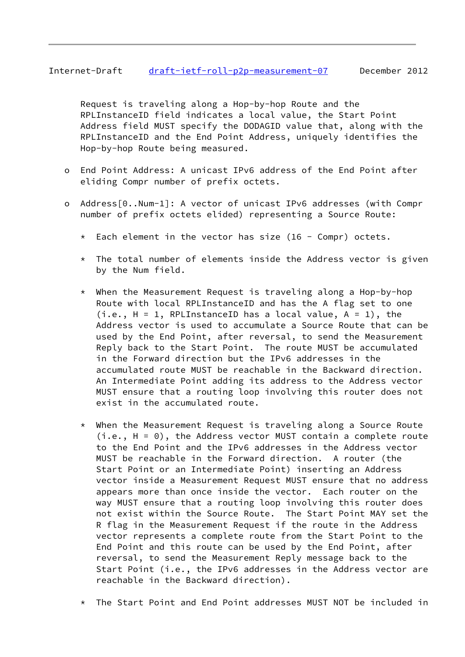# Internet-Draft [draft-ietf-roll-p2p-measurement-07](https://datatracker.ietf.org/doc/pdf/draft-ietf-roll-p2p-measurement-07) December 2012

 Request is traveling along a Hop-by-hop Route and the RPLInstanceID field indicates a local value, the Start Point Address field MUST specify the DODAGID value that, along with the RPLInstanceID and the End Point Address, uniquely identifies the Hop-by-hop Route being measured.

- o End Point Address: A unicast IPv6 address of the End Point after eliding Compr number of prefix octets.
- o Address[0..Num-1]: A vector of unicast IPv6 addresses (with Compr number of prefix octets elided) representing a Source Route:
	- \* Each element in the vector has size (16 Compr) octets.
	- $*$  The total number of elements inside the Address vector is given by the Num field.
	- \* When the Measurement Request is traveling along a Hop-by-hop Route with local RPLInstanceID and has the A flag set to one  $(i.e., H = 1, RPLInstanceID has a local value, A = 1), the$  Address vector is used to accumulate a Source Route that can be used by the End Point, after reversal, to send the Measurement Reply back to the Start Point. The route MUST be accumulated in the Forward direction but the IPv6 addresses in the accumulated route MUST be reachable in the Backward direction. An Intermediate Point adding its address to the Address vector MUST ensure that a routing loop involving this router does not exist in the accumulated route.
	- \* When the Measurement Request is traveling along a Source Route  $(i.e., H = 0)$ , the Address vector MUST contain a complete route to the End Point and the IPv6 addresses in the Address vector MUST be reachable in the Forward direction. A router (the Start Point or an Intermediate Point) inserting an Address vector inside a Measurement Request MUST ensure that no address appears more than once inside the vector. Each router on the way MUST ensure that a routing loop involving this router does not exist within the Source Route. The Start Point MAY set the R flag in the Measurement Request if the route in the Address vector represents a complete route from the Start Point to the End Point and this route can be used by the End Point, after reversal, to send the Measurement Reply message back to the Start Point (i.e., the IPv6 addresses in the Address vector are reachable in the Backward direction).
	- \* The Start Point and End Point addresses MUST NOT be included in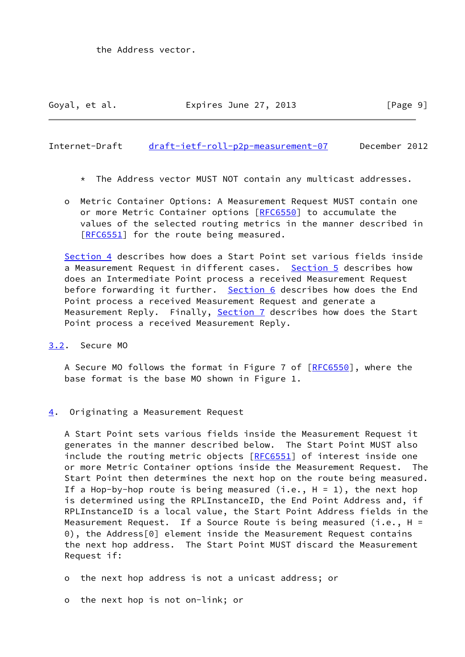<span id="page-10-1"></span>Internet-Draft [draft-ietf-roll-p2p-measurement-07](https://datatracker.ietf.org/doc/pdf/draft-ietf-roll-p2p-measurement-07) December 2012

- \* The Address vector MUST NOT contain any multicast addresses.
- o Metric Container Options: A Measurement Request MUST contain one or more Metric Container options [\[RFC6550](https://datatracker.ietf.org/doc/pdf/rfc6550)] to accumulate the values of the selected routing metrics in the manner described in [[RFC6551\]](https://datatracker.ietf.org/doc/pdf/rfc6551) for the route being measured.

 [Section 4](#page-10-2) describes how does a Start Point set various fields inside a Measurement Request in different cases. [Section 5](#page-16-0) describes how does an Intermediate Point process a received Measurement Request before forwarding it further. [Section 6](#page-21-1) describes how does the End Point process a received Measurement Request and generate a Measurement Reply. Finally, [Section 7](#page-23-0) describes how does the Start Point process a received Measurement Reply.

<span id="page-10-0"></span>[3.2](#page-10-0). Secure MO

 A Secure MO follows the format in Figure 7 of [[RFC6550](https://datatracker.ietf.org/doc/pdf/rfc6550)], where the base format is the base MO shown in Figure 1.

<span id="page-10-2"></span>[4](#page-10-2). Originating a Measurement Request

 A Start Point sets various fields inside the Measurement Request it generates in the manner described below. The Start Point MUST also include the routing metric objects [[RFC6551\]](https://datatracker.ietf.org/doc/pdf/rfc6551) of interest inside one or more Metric Container options inside the Measurement Request. The Start Point then determines the next hop on the route being measured. If a Hop-by-hop route is being measured  $(i.e., H = 1)$ , the next hop is determined using the RPLInstanceID, the End Point Address and, if RPLInstanceID is a local value, the Start Point Address fields in the Measurement Request. If a Source Route is being measured (i.e.,  $H =$  0), the Address[0] element inside the Measurement Request contains the next hop address. The Start Point MUST discard the Measurement Request if:

o the next hop address is not a unicast address; or

o the next hop is not on-link; or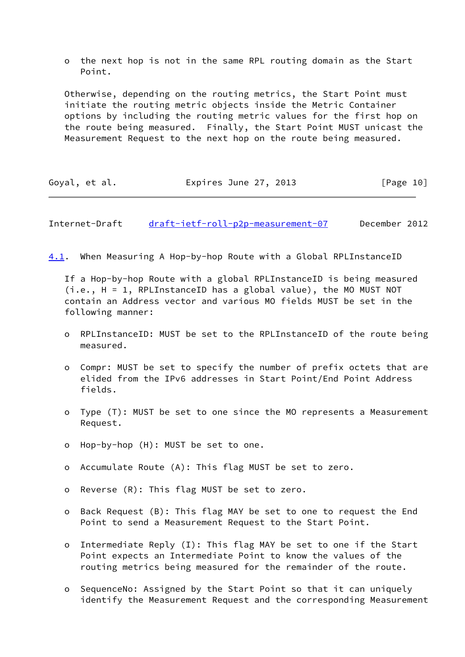o the next hop is not in the same RPL routing domain as the Start Point.

 Otherwise, depending on the routing metrics, the Start Point must initiate the routing metric objects inside the Metric Container options by including the routing metric values for the first hop on the route being measured. Finally, the Start Point MUST unicast the Measurement Request to the next hop on the route being measured.

| Goyal, et al. | Expires June 27, 2013 | [Page 10] |
|---------------|-----------------------|-----------|
|---------------|-----------------------|-----------|

<span id="page-11-0"></span>Internet-Draft [draft-ietf-roll-p2p-measurement-07](https://datatracker.ietf.org/doc/pdf/draft-ietf-roll-p2p-measurement-07) December 2012

<span id="page-11-1"></span>[4.1](#page-11-1). When Measuring A Hop-by-hop Route with a Global RPLInstanceID

 If a Hop-by-hop Route with a global RPLInstanceID is being measured (i.e., H = 1, RPLInstanceID has a global value), the MO MUST NOT contain an Address vector and various MO fields MUST be set in the following manner:

- o RPLInstanceID: MUST be set to the RPLInstanceID of the route being measured.
- o Compr: MUST be set to specify the number of prefix octets that are elided from the IPv6 addresses in Start Point/End Point Address fields.
- o Type (T): MUST be set to one since the MO represents a Measurement Request.
- o Hop-by-hop (H): MUST be set to one.
- o Accumulate Route (A): This flag MUST be set to zero.
- o Reverse (R): This flag MUST be set to zero.
- o Back Request (B): This flag MAY be set to one to request the End Point to send a Measurement Request to the Start Point.
- o Intermediate Reply (I): This flag MAY be set to one if the Start Point expects an Intermediate Point to know the values of the routing metrics being measured for the remainder of the route.
- o SequenceNo: Assigned by the Start Point so that it can uniquely identify the Measurement Request and the corresponding Measurement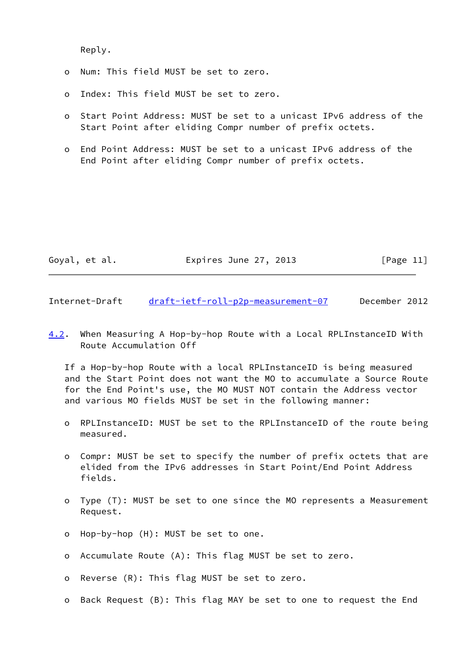Reply.

- o Num: This field MUST be set to zero.
- o Index: This field MUST be set to zero.
- o Start Point Address: MUST be set to a unicast IPv6 address of the Start Point after eliding Compr number of prefix octets.
- o End Point Address: MUST be set to a unicast IPv6 address of the End Point after eliding Compr number of prefix octets.

| Goyal, et al. | Expires June 27, 2013 | [Page 11] |
|---------------|-----------------------|-----------|
|---------------|-----------------------|-----------|

<span id="page-12-0"></span>Internet-Draft [draft-ietf-roll-p2p-measurement-07](https://datatracker.ietf.org/doc/pdf/draft-ietf-roll-p2p-measurement-07) December 2012

<span id="page-12-1"></span>[4.2](#page-12-1). When Measuring A Hop-by-hop Route with a Local RPLInstanceID With Route Accumulation Off

 If a Hop-by-hop Route with a local RPLInstanceID is being measured and the Start Point does not want the MO to accumulate a Source Route for the End Point's use, the MO MUST NOT contain the Address vector and various MO fields MUST be set in the following manner:

- o RPLInstanceID: MUST be set to the RPLInstanceID of the route being measured.
- o Compr: MUST be set to specify the number of prefix octets that are elided from the IPv6 addresses in Start Point/End Point Address fields.
- o Type (T): MUST be set to one since the MO represents a Measurement Request.
- o Hop-by-hop (H): MUST be set to one.
- o Accumulate Route (A): This flag MUST be set to zero.
- o Reverse (R): This flag MUST be set to zero.
- o Back Request (B): This flag MAY be set to one to request the End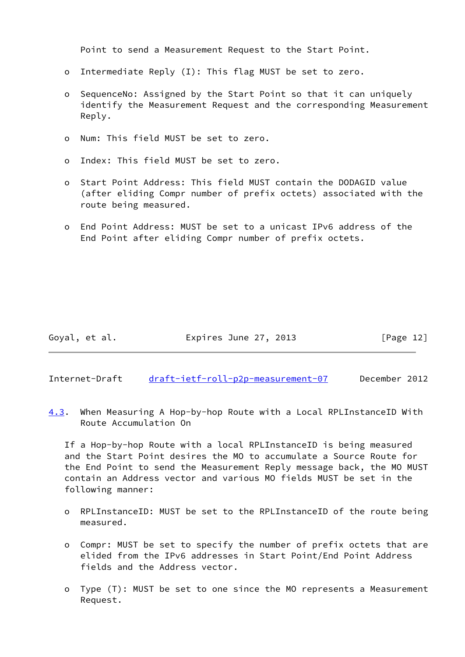Point to send a Measurement Request to the Start Point.

- o Intermediate Reply (I): This flag MUST be set to zero.
- o SequenceNo: Assigned by the Start Point so that it can uniquely identify the Measurement Request and the corresponding Measurement Reply.
- o Num: This field MUST be set to zero.
- o Index: This field MUST be set to zero.
- o Start Point Address: This field MUST contain the DODAGID value (after eliding Compr number of prefix octets) associated with the route being measured.
- o End Point Address: MUST be set to a unicast IPv6 address of the End Point after eliding Compr number of prefix octets.

Goyal, et al. **Expires June 27, 2013** [Page 12]

<span id="page-13-0"></span>Internet-Draft [draft-ietf-roll-p2p-measurement-07](https://datatracker.ietf.org/doc/pdf/draft-ietf-roll-p2p-measurement-07) December 2012

<span id="page-13-1"></span>[4.3](#page-13-1). When Measuring A Hop-by-hop Route with a Local RPLInstanceID With Route Accumulation On

 If a Hop-by-hop Route with a local RPLInstanceID is being measured and the Start Point desires the MO to accumulate a Source Route for the End Point to send the Measurement Reply message back, the MO MUST contain an Address vector and various MO fields MUST be set in the following manner:

- o RPLInstanceID: MUST be set to the RPLInstanceID of the route being measured.
- o Compr: MUST be set to specify the number of prefix octets that are elided from the IPv6 addresses in Start Point/End Point Address fields and the Address vector.
- o Type (T): MUST be set to one since the MO represents a Measurement Request.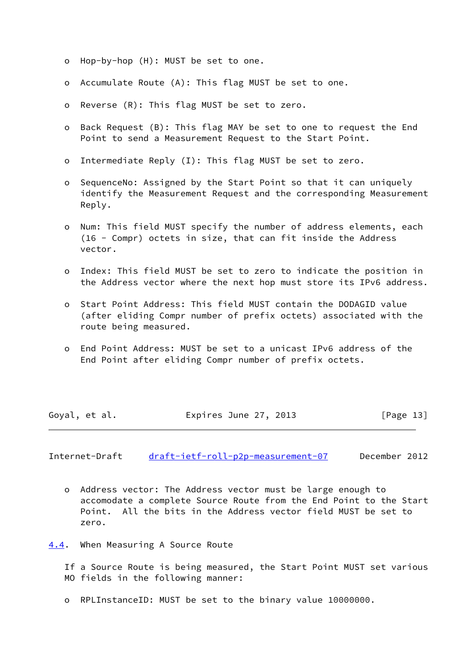- o Hop-by-hop (H): MUST be set to one.
- o Accumulate Route (A): This flag MUST be set to one.
- o Reverse (R): This flag MUST be set to zero.
- o Back Request (B): This flag MAY be set to one to request the End Point to send a Measurement Request to the Start Point.
- o Intermediate Reply (I): This flag MUST be set to zero.
- o SequenceNo: Assigned by the Start Point so that it can uniquely identify the Measurement Request and the corresponding Measurement Reply.
- o Num: This field MUST specify the number of address elements, each (16 - Compr) octets in size, that can fit inside the Address vector.
- o Index: This field MUST be set to zero to indicate the position in the Address vector where the next hop must store its IPv6 address.
- o Start Point Address: This field MUST contain the DODAGID value (after eliding Compr number of prefix octets) associated with the route being measured.
- o End Point Address: MUST be set to a unicast IPv6 address of the End Point after eliding Compr number of prefix octets.

| Goyal, et al. | Expires June 27, 2013 | [Page 13] |
|---------------|-----------------------|-----------|
|---------------|-----------------------|-----------|

<span id="page-14-1"></span>Internet-Draft [draft-ietf-roll-p2p-measurement-07](https://datatracker.ietf.org/doc/pdf/draft-ietf-roll-p2p-measurement-07) December 2012

- o Address vector: The Address vector must be large enough to accomodate a complete Source Route from the End Point to the Start Point. All the bits in the Address vector field MUST be set to zero.
- <span id="page-14-0"></span>[4.4](#page-14-0). When Measuring A Source Route

 If a Source Route is being measured, the Start Point MUST set various MO fields in the following manner:

o RPLInstanceID: MUST be set to the binary value 10000000.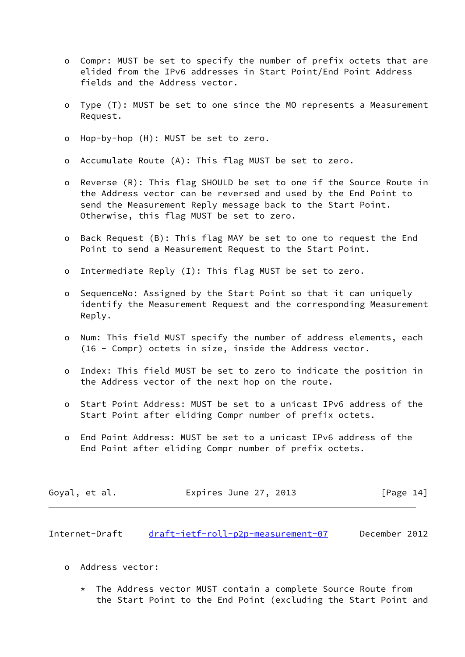- o Compr: MUST be set to specify the number of prefix octets that are elided from the IPv6 addresses in Start Point/End Point Address fields and the Address vector.
- o Type (T): MUST be set to one since the MO represents a Measurement Request.
- o Hop-by-hop (H): MUST be set to zero.
- o Accumulate Route (A): This flag MUST be set to zero.
- o Reverse (R): This flag SHOULD be set to one if the Source Route in the Address vector can be reversed and used by the End Point to send the Measurement Reply message back to the Start Point. Otherwise, this flag MUST be set to zero.
- o Back Request (B): This flag MAY be set to one to request the End Point to send a Measurement Request to the Start Point.
- o Intermediate Reply (I): This flag MUST be set to zero.
- o SequenceNo: Assigned by the Start Point so that it can uniquely identify the Measurement Request and the corresponding Measurement Reply.
- o Num: This field MUST specify the number of address elements, each (16 - Compr) octets in size, inside the Address vector.
- o Index: This field MUST be set to zero to indicate the position in the Address vector of the next hop on the route.
- o Start Point Address: MUST be set to a unicast IPv6 address of the Start Point after eliding Compr number of prefix octets.
- o End Point Address: MUST be set to a unicast IPv6 address of the End Point after eliding Compr number of prefix octets.

| Expires June 27, 2013<br>Goyal, et al. | [Page 14] |
|----------------------------------------|-----------|
|----------------------------------------|-----------|

<span id="page-15-0"></span>Internet-Draft [draft-ietf-roll-p2p-measurement-07](https://datatracker.ietf.org/doc/pdf/draft-ietf-roll-p2p-measurement-07) December 2012

- o Address vector:
	- The Address vector MUST contain a complete Source Route from the Start Point to the End Point (excluding the Start Point and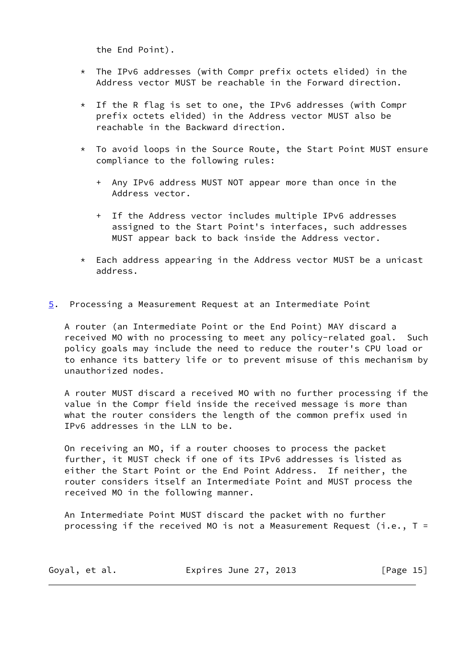the End Point).

- \* The IPv6 addresses (with Compr prefix octets elided) in the Address vector MUST be reachable in the Forward direction.
- \* If the R flag is set to one, the IPv6 addresses (with Compr prefix octets elided) in the Address vector MUST also be reachable in the Backward direction.
- \* To avoid loops in the Source Route, the Start Point MUST ensure compliance to the following rules:
	- + Any IPv6 address MUST NOT appear more than once in the Address vector.
	- + If the Address vector includes multiple IPv6 addresses assigned to the Start Point's interfaces, such addresses MUST appear back to back inside the Address vector.
- \* Each address appearing in the Address vector MUST be a unicast address.
- <span id="page-16-0"></span>[5](#page-16-0). Processing a Measurement Request at an Intermediate Point

 A router (an Intermediate Point or the End Point) MAY discard a received MO with no processing to meet any policy-related goal. Such policy goals may include the need to reduce the router's CPU load or to enhance its battery life or to prevent misuse of this mechanism by unauthorized nodes.

 A router MUST discard a received MO with no further processing if the value in the Compr field inside the received message is more than what the router considers the length of the common prefix used in IPv6 addresses in the LLN to be.

 On receiving an MO, if a router chooses to process the packet further, it MUST check if one of its IPv6 addresses is listed as either the Start Point or the End Point Address. If neither, the router considers itself an Intermediate Point and MUST process the received MO in the following manner.

 An Intermediate Point MUST discard the packet with no further processing if the received MO is not a Measurement Request (i.e.,  $T =$ 

| Goyal, et al. | Expires June 27, 2013 | [Page 15] |
|---------------|-----------------------|-----------|
|---------------|-----------------------|-----------|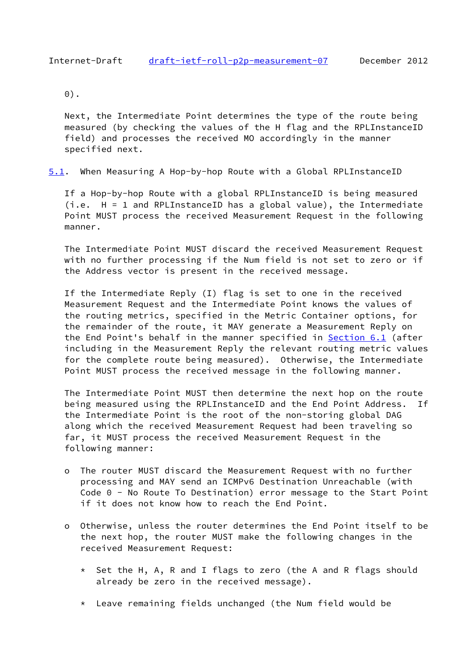```
 0).
```
 Next, the Intermediate Point determines the type of the route being measured (by checking the values of the H flag and the RPLInstanceID field) and processes the received MO accordingly in the manner specified next.

<span id="page-17-1"></span>[5.1](#page-17-1). When Measuring A Hop-by-hop Route with a Global RPLInstanceID

 If a Hop-by-hop Route with a global RPLInstanceID is being measured (i.e. H = 1 and RPLInstanceID has a global value), the Intermediate Point MUST process the received Measurement Request in the following manner.

 The Intermediate Point MUST discard the received Measurement Request with no further processing if the Num field is not set to zero or if the Address vector is present in the received message.

 If the Intermediate Reply (I) flag is set to one in the received Measurement Request and the Intermediate Point knows the values of the routing metrics, specified in the Metric Container options, for the remainder of the route, it MAY generate a Measurement Reply on the End Point's behalf in the manner specified in [Section 6.1](#page-22-0) (after including in the Measurement Reply the relevant routing metric values for the complete route being measured). Otherwise, the Intermediate Point MUST process the received message in the following manner.

 The Intermediate Point MUST then determine the next hop on the route being measured using the RPLInstanceID and the End Point Address. If the Intermediate Point is the root of the non-storing global DAG along which the received Measurement Request had been traveling so far, it MUST process the received Measurement Request in the following manner:

- o The router MUST discard the Measurement Request with no further processing and MAY send an ICMPv6 Destination Unreachable (with Code 0 - No Route To Destination) error message to the Start Point if it does not know how to reach the End Point.
- o Otherwise, unless the router determines the End Point itself to be the next hop, the router MUST make the following changes in the received Measurement Request:
	- \* Set the H, A, R and I flags to zero (the A and R flags should already be zero in the received message).
	- \* Leave remaining fields unchanged (the Num field would be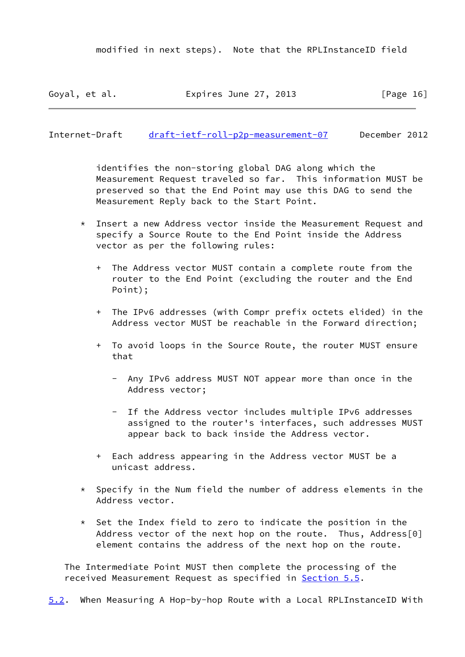Goyal, et al. **Expires June 27, 2013** [Page 16]

<span id="page-18-0"></span>Internet-Draft [draft-ietf-roll-p2p-measurement-07](https://datatracker.ietf.org/doc/pdf/draft-ietf-roll-p2p-measurement-07) December 2012

 identifies the non-storing global DAG along which the Measurement Request traveled so far. This information MUST be preserved so that the End Point may use this DAG to send the Measurement Reply back to the Start Point.

- \* Insert a new Address vector inside the Measurement Request and specify a Source Route to the End Point inside the Address vector as per the following rules:
	- + The Address vector MUST contain a complete route from the router to the End Point (excluding the router and the End Point);
	- + The IPv6 addresses (with Compr prefix octets elided) in the Address vector MUST be reachable in the Forward direction;
	- + To avoid loops in the Source Route, the router MUST ensure that
		- Any IPv6 address MUST NOT appear more than once in the Address vector;
		- If the Address vector includes multiple IPv6 addresses assigned to the router's interfaces, such addresses MUST appear back to back inside the Address vector.
	- + Each address appearing in the Address vector MUST be a unicast address.
- \* Specify in the Num field the number of address elements in the Address vector.
- \* Set the Index field to zero to indicate the position in the Address vector of the next hop on the route. Thus, Address[0] element contains the address of the next hop on the route.

 The Intermediate Point MUST then complete the processing of the received Measurement Request as specified in **Section 5.5.** 

<span id="page-18-1"></span>[5.2](#page-18-1). When Measuring A Hop-by-hop Route with a Local RPLInstanceID With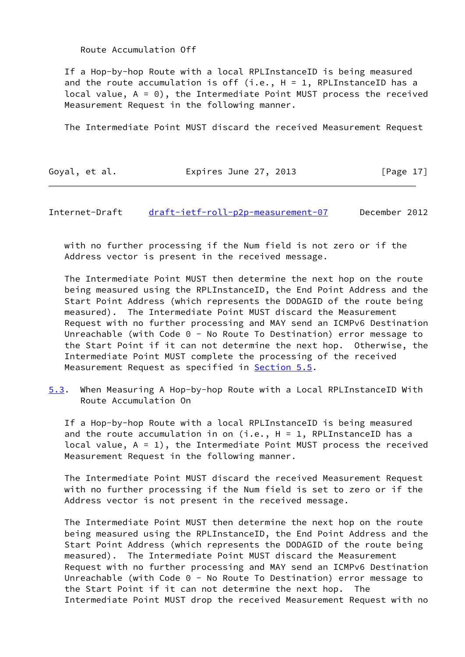### Route Accumulation Off

 If a Hop-by-hop Route with a local RPLInstanceID is being measured and the route accumulation is off (i.e.,  $H = 1$ , RPLInstanceID has a local value,  $A = 0$ ), the Intermediate Point MUST process the received Measurement Request in the following manner.

The Intermediate Point MUST discard the received Measurement Request

| Goyal, et al. | Expires June 27, 2013 | [Page 17] |
|---------------|-----------------------|-----------|
|---------------|-----------------------|-----------|

<span id="page-19-0"></span>Internet-Draft [draft-ietf-roll-p2p-measurement-07](https://datatracker.ietf.org/doc/pdf/draft-ietf-roll-p2p-measurement-07) December 2012

 with no further processing if the Num field is not zero or if the Address vector is present in the received message.

 The Intermediate Point MUST then determine the next hop on the route being measured using the RPLInstanceID, the End Point Address and the Start Point Address (which represents the DODAGID of the route being measured). The Intermediate Point MUST discard the Measurement Request with no further processing and MAY send an ICMPv6 Destination Unreachable (with Code 0 - No Route To Destination) error message to the Start Point if it can not determine the next hop. Otherwise, the Intermediate Point MUST complete the processing of the received Measurement Request as specified in **Section 5.5**.

<span id="page-19-1"></span>[5.3](#page-19-1). When Measuring A Hop-by-hop Route with a Local RPLInstanceID With Route Accumulation On

 If a Hop-by-hop Route with a local RPLInstanceID is being measured and the route accumulation in on  $(i.e., H = 1, RPLInstanceID has a$ local value,  $A = 1$ ), the Intermediate Point MUST process the received Measurement Request in the following manner.

 The Intermediate Point MUST discard the received Measurement Request with no further processing if the Num field is set to zero or if the Address vector is not present in the received message.

 The Intermediate Point MUST then determine the next hop on the route being measured using the RPLInstanceID, the End Point Address and the Start Point Address (which represents the DODAGID of the route being measured). The Intermediate Point MUST discard the Measurement Request with no further processing and MAY send an ICMPv6 Destination Unreachable (with Code 0 - No Route To Destination) error message to the Start Point if it can not determine the next hop. The Intermediate Point MUST drop the received Measurement Request with no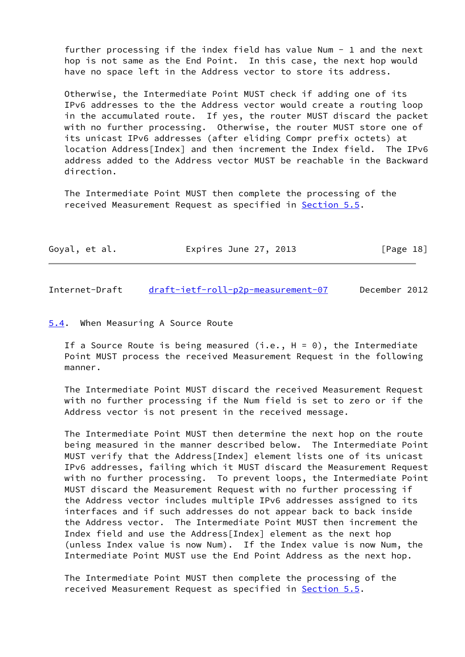further processing if the index field has value Num  $-$  1 and the next hop is not same as the End Point. In this case, the next hop would have no space left in the Address vector to store its address.

 Otherwise, the Intermediate Point MUST check if adding one of its IPv6 addresses to the the Address vector would create a routing loop in the accumulated route. If yes, the router MUST discard the packet with no further processing. Otherwise, the router MUST store one of its unicast IPv6 addresses (after eliding Compr prefix octets) at location Address[Index] and then increment the Index field. The IPv6 address added to the Address vector MUST be reachable in the Backward direction.

 The Intermediate Point MUST then complete the processing of the received Measurement Request as specified in **Section 5.5**.

| Goyal, et al. | Expires June 27, 2013 | [Page 18] |
|---------------|-----------------------|-----------|
|               |                       |           |

<span id="page-20-1"></span>Internet-Draft [draft-ietf-roll-p2p-measurement-07](https://datatracker.ietf.org/doc/pdf/draft-ietf-roll-p2p-measurement-07) December 2012

#### <span id="page-20-0"></span>[5.4](#page-20-0). When Measuring A Source Route

If a Source Route is being measured (i.e.,  $H = 0$ ), the Intermediate Point MUST process the received Measurement Request in the following manner.

 The Intermediate Point MUST discard the received Measurement Request with no further processing if the Num field is set to zero or if the Address vector is not present in the received message.

 The Intermediate Point MUST then determine the next hop on the route being measured in the manner described below. The Intermediate Point MUST verify that the Address[Index] element lists one of its unicast IPv6 addresses, failing which it MUST discard the Measurement Request with no further processing. To prevent loops, the Intermediate Point MUST discard the Measurement Request with no further processing if the Address vector includes multiple IPv6 addresses assigned to its interfaces and if such addresses do not appear back to back inside the Address vector. The Intermediate Point MUST then increment the Index field and use the Address[Index] element as the next hop (unless Index value is now Num). If the Index value is now Num, the Intermediate Point MUST use the End Point Address as the next hop.

 The Intermediate Point MUST then complete the processing of the received Measurement Request as specified in [Section 5.5](#page-21-0).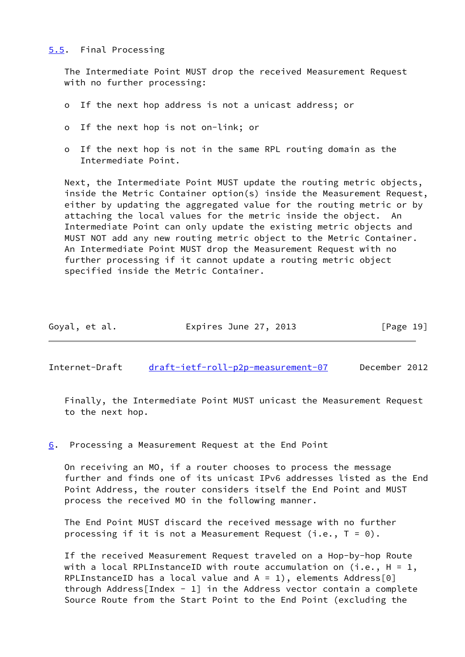### <span id="page-21-0"></span>[5.5](#page-21-0). Final Processing

 The Intermediate Point MUST drop the received Measurement Request with no further processing:

- o If the next hop address is not a unicast address; or
- o If the next hop is not on-link; or
- o If the next hop is not in the same RPL routing domain as the Intermediate Point.

 Next, the Intermediate Point MUST update the routing metric objects, inside the Metric Container option(s) inside the Measurement Request, either by updating the aggregated value for the routing metric or by attaching the local values for the metric inside the object. An Intermediate Point can only update the existing metric objects and MUST NOT add any new routing metric object to the Metric Container. An Intermediate Point MUST drop the Measurement Request with no further processing if it cannot update a routing metric object specified inside the Metric Container.

| Goyal, et al. | Expires June 27, 2013 | [Page 19] |
|---------------|-----------------------|-----------|
|---------------|-----------------------|-----------|

<span id="page-21-2"></span>Internet-Draft [draft-ietf-roll-p2p-measurement-07](https://datatracker.ietf.org/doc/pdf/draft-ietf-roll-p2p-measurement-07) December 2012

 Finally, the Intermediate Point MUST unicast the Measurement Request to the next hop.

# <span id="page-21-1"></span>[6](#page-21-1). Processing a Measurement Request at the End Point

 On receiving an MO, if a router chooses to process the message further and finds one of its unicast IPv6 addresses listed as the End Point Address, the router considers itself the End Point and MUST process the received MO in the following manner.

 The End Point MUST discard the received message with no further processing if it is not a Measurement Request (i.e.,  $T = 0$ ).

 If the received Measurement Request traveled on a Hop-by-hop Route with a local RPLInstanceID with route accumulation on (i.e.,  $H = 1$ , RPLInstanceID has a local value and  $A = 1$ ), elements Address[0] through Address [Index - 1] in the Address vector contain a complete Source Route from the Start Point to the End Point (excluding the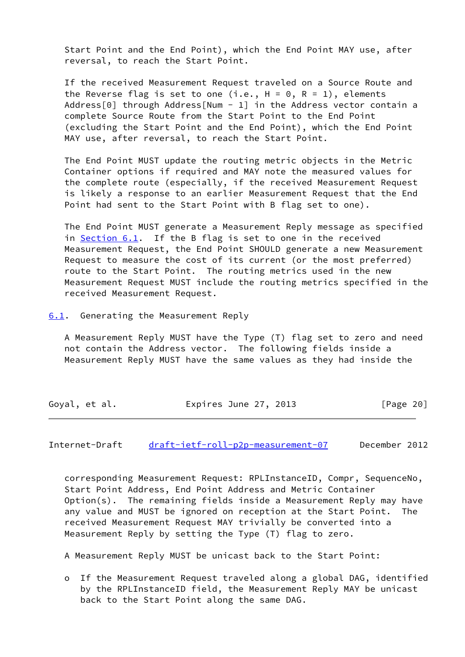Start Point and the End Point), which the End Point MAY use, after reversal, to reach the Start Point.

 If the received Measurement Request traveled on a Source Route and the Reverse flag is set to one (i.e.,  $H = 0$ , R = 1), elements Address[0] through Address[Num - 1] in the Address vector contain a complete Source Route from the Start Point to the End Point (excluding the Start Point and the End Point), which the End Point MAY use, after reversal, to reach the Start Point.

 The End Point MUST update the routing metric objects in the Metric Container options if required and MAY note the measured values for the complete route (especially, if the received Measurement Request is likely a response to an earlier Measurement Request that the End Point had sent to the Start Point with B flag set to one).

 The End Point MUST generate a Measurement Reply message as specified in [Section 6.1](#page-22-0). If the B flag is set to one in the received Measurement Request, the End Point SHOULD generate a new Measurement Request to measure the cost of its current (or the most preferred) route to the Start Point. The routing metrics used in the new Measurement Request MUST include the routing metrics specified in the received Measurement Request.

<span id="page-22-0"></span>[6.1](#page-22-0). Generating the Measurement Reply

 A Measurement Reply MUST have the Type (T) flag set to zero and need not contain the Address vector. The following fields inside a Measurement Reply MUST have the same values as they had inside the

| Goyal, et al. | Expires June 27, 2013 | [Page 20] |
|---------------|-----------------------|-----------|
|---------------|-----------------------|-----------|

<span id="page-22-1"></span>Internet-Draft [draft-ietf-roll-p2p-measurement-07](https://datatracker.ietf.org/doc/pdf/draft-ietf-roll-p2p-measurement-07) December 2012

 corresponding Measurement Request: RPLInstanceID, Compr, SequenceNo, Start Point Address, End Point Address and Metric Container Option(s). The remaining fields inside a Measurement Reply may have any value and MUST be ignored on reception at the Start Point. The received Measurement Request MAY trivially be converted into a Measurement Reply by setting the Type (T) flag to zero.

A Measurement Reply MUST be unicast back to the Start Point:

 o If the Measurement Request traveled along a global DAG, identified by the RPLInstanceID field, the Measurement Reply MAY be unicast back to the Start Point along the same DAG.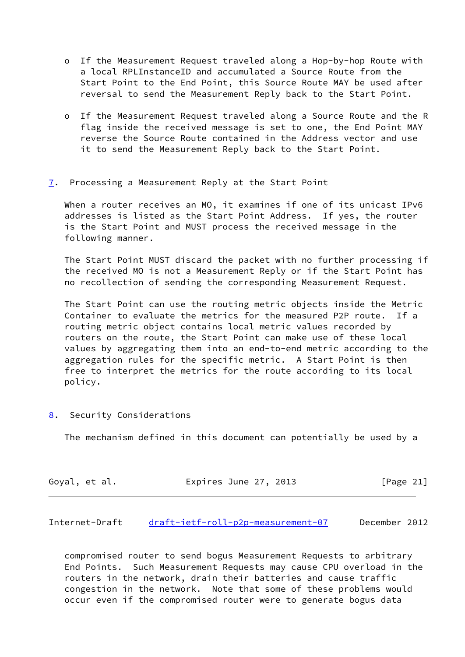- o If the Measurement Request traveled along a Hop-by-hop Route with a local RPLInstanceID and accumulated a Source Route from the Start Point to the End Point, this Source Route MAY be used after reversal to send the Measurement Reply back to the Start Point.
- o If the Measurement Request traveled along a Source Route and the R flag inside the received message is set to one, the End Point MAY reverse the Source Route contained in the Address vector and use it to send the Measurement Reply back to the Start Point.
- <span id="page-23-0"></span>[7](#page-23-0). Processing a Measurement Reply at the Start Point

 When a router receives an MO, it examines if one of its unicast IPv6 addresses is listed as the Start Point Address. If yes, the router is the Start Point and MUST process the received message in the following manner.

 The Start Point MUST discard the packet with no further processing if the received MO is not a Measurement Reply or if the Start Point has no recollection of sending the corresponding Measurement Request.

 The Start Point can use the routing metric objects inside the Metric Container to evaluate the metrics for the measured P2P route. If a routing metric object contains local metric values recorded by routers on the route, the Start Point can make use of these local values by aggregating them into an end-to-end metric according to the aggregation rules for the specific metric. A Start Point is then free to interpret the metrics for the route according to its local policy.

<span id="page-23-1"></span>[8](#page-23-1). Security Considerations

The mechanism defined in this document can potentially be used by a

| Goyal, et al. | Expires June 27, 2013 | [Page 21] |
|---------------|-----------------------|-----------|
|---------------|-----------------------|-----------|

Internet-Draft [draft-ietf-roll-p2p-measurement-07](https://datatracker.ietf.org/doc/pdf/draft-ietf-roll-p2p-measurement-07) December 2012

 compromised router to send bogus Measurement Requests to arbitrary End Points. Such Measurement Requests may cause CPU overload in the routers in the network, drain their batteries and cause traffic congestion in the network. Note that some of these problems would occur even if the compromised router were to generate bogus data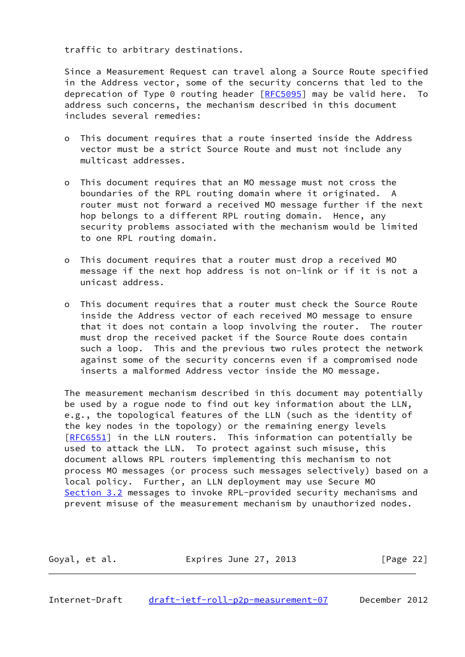traffic to arbitrary destinations.

 Since a Measurement Request can travel along a Source Route specified in the Address vector, some of the security concerns that led to the deprecation of Type 0 routing header  $[RECS095]$  may be valid here. To address such concerns, the mechanism described in this document includes several remedies:

- o This document requires that a route inserted inside the Address vector must be a strict Source Route and must not include any multicast addresses.
- o This document requires that an MO message must not cross the boundaries of the RPL routing domain where it originated. A router must not forward a received MO message further if the next hop belongs to a different RPL routing domain. Hence, any security problems associated with the mechanism would be limited to one RPL routing domain.
- o This document requires that a router must drop a received MO message if the next hop address is not on-link or if it is not a unicast address.
- o This document requires that a router must check the Source Route inside the Address vector of each received MO message to ensure that it does not contain a loop involving the router. The router must drop the received packet if the Source Route does contain such a loop. This and the previous two rules protect the network against some of the security concerns even if a compromised node inserts a malformed Address vector inside the MO message.

 The measurement mechanism described in this document may potentially be used by a rogue node to find out key information about the LLN, e.g., the topological features of the LLN (such as the identity of the key nodes in the topology) or the remaining energy levels [\[RFC6551](https://datatracker.ietf.org/doc/pdf/rfc6551)] in the LLN routers. This information can potentially be used to attack the LLN. To protect against such misuse, this document allows RPL routers implementing this mechanism to not process MO messages (or process such messages selectively) based on a local policy. Further, an LLN deployment may use Secure MO [Section 3.2](#page-10-0) messages to invoke RPL-provided security mechanisms and prevent misuse of the measurement mechanism by unauthorized nodes.

| Goyal, et al. | Expires June 27, 2013 | [Page 22] |
|---------------|-----------------------|-----------|
|               |                       |           |

<span id="page-24-0"></span>Internet-Draft [draft-ietf-roll-p2p-measurement-07](https://datatracker.ietf.org/doc/pdf/draft-ietf-roll-p2p-measurement-07) December 2012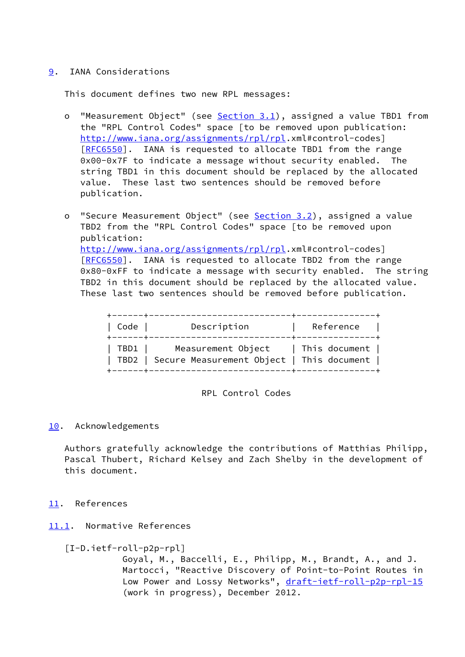# <span id="page-25-0"></span>[9](#page-25-0). IANA Considerations

This document defines two new RPL messages:

- o "Measurement Object" (see [Section 3.1](#page-5-0)), assigned a value TBD1 from the "RPL Control Codes" space [to be removed upon publication: <http://www.iana.org/assignments/rpl/rpl>.xml#control-codes] [[RFC6550\]](https://datatracker.ietf.org/doc/pdf/rfc6550). IANA is requested to allocate TBD1 from the range 0x00-0x7F to indicate a message without security enabled. The string TBD1 in this document should be replaced by the allocated value. These last two sentences should be removed before publication.
- o "Secure Measurement Object" (see [Section 3.2\)](#page-10-0), assigned a value TBD2 from the "RPL Control Codes" space [to be removed upon publication: <http://www.iana.org/assignments/rpl/rpl>.xml#control-codes] [[RFC6550\]](https://datatracker.ietf.org/doc/pdf/rfc6550). IANA is requested to allocate TBD2 from the range 0x80-0xFF to indicate a message with security enabled. The string TBD2 in this document should be replaced by the allocated value. These last two sentences should be removed before publication.

| Code   | Description                                                                                | Reference |
|--------|--------------------------------------------------------------------------------------------|-----------|
| TBD1 I | Measurement Object   This document  <br>  TBD2   Secure Measurement Object   This document |           |

#### RPL Control Codes

## <span id="page-25-1"></span>[10.](#page-25-1) Acknowledgements

 Authors gratefully acknowledge the contributions of Matthias Philipp, Pascal Thubert, Richard Kelsey and Zach Shelby in the development of this document.

## <span id="page-25-2"></span>[11.](#page-25-2) References

# <span id="page-25-3"></span>[11.1](#page-25-3). Normative References

## [I-D.ietf-roll-p2p-rpl]

 Goyal, M., Baccelli, E., Philipp, M., Brandt, A., and J. Martocci, "Reactive Discovery of Point-to-Point Routes in Low Power and Lossy Networks", [draft-ietf-roll-p2p-rpl-15](https://datatracker.ietf.org/doc/pdf/draft-ietf-roll-p2p-rpl-15) (work in progress), December 2012.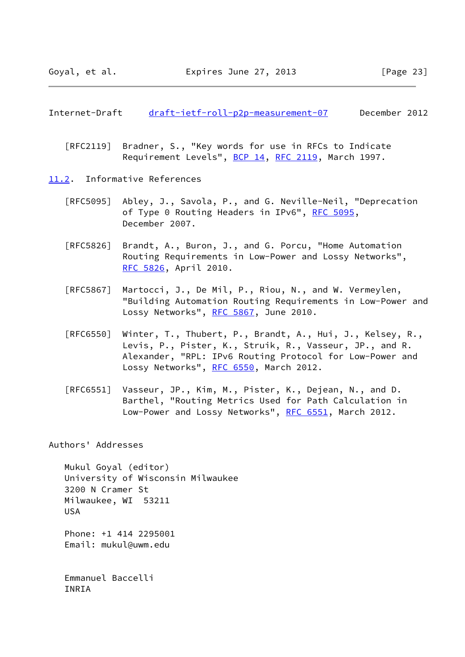#### <span id="page-26-1"></span>Internet-Draft [draft-ietf-roll-p2p-measurement-07](https://datatracker.ietf.org/doc/pdf/draft-ietf-roll-p2p-measurement-07) December 2012

- [RFC2119] Bradner, S., "Key words for use in RFCs to Indicate Requirement Levels", [BCP 14](https://datatracker.ietf.org/doc/pdf/bcp14), [RFC 2119](https://datatracker.ietf.org/doc/pdf/rfc2119), March 1997.
- <span id="page-26-0"></span>[11.2](#page-26-0). Informative References
	- [RFC5095] Abley, J., Savola, P., and G. Neville-Neil, "Deprecation of Type 0 Routing Headers in IPv6", [RFC 5095,](https://datatracker.ietf.org/doc/pdf/rfc5095) December 2007.
	- [RFC5826] Brandt, A., Buron, J., and G. Porcu, "Home Automation Routing Requirements in Low-Power and Lossy Networks", [RFC 5826,](https://datatracker.ietf.org/doc/pdf/rfc5826) April 2010.
	- [RFC5867] Martocci, J., De Mil, P., Riou, N., and W. Vermeylen, "Building Automation Routing Requirements in Low-Power and Lossy Networks", [RFC 5867,](https://datatracker.ietf.org/doc/pdf/rfc5867) June 2010.
	- [RFC6550] Winter, T., Thubert, P., Brandt, A., Hui, J., Kelsey, R., Levis, P., Pister, K., Struik, R., Vasseur, JP., and R. Alexander, "RPL: IPv6 Routing Protocol for Low-Power and Lossy Networks", [RFC 6550,](https://datatracker.ietf.org/doc/pdf/rfc6550) March 2012.
	- [RFC6551] Vasseur, JP., Kim, M., Pister, K., Dejean, N., and D. Barthel, "Routing Metrics Used for Path Calculation in Low-Power and Lossy Networks", [RFC 6551](https://datatracker.ietf.org/doc/pdf/rfc6551), March 2012.

Authors' Addresses

 Mukul Goyal (editor) University of Wisconsin Milwaukee 3200 N Cramer St Milwaukee, WI 53211 USA

 Phone: +1 414 2295001 Email: mukul@uwm.edu

 Emmanuel Baccelli INRIA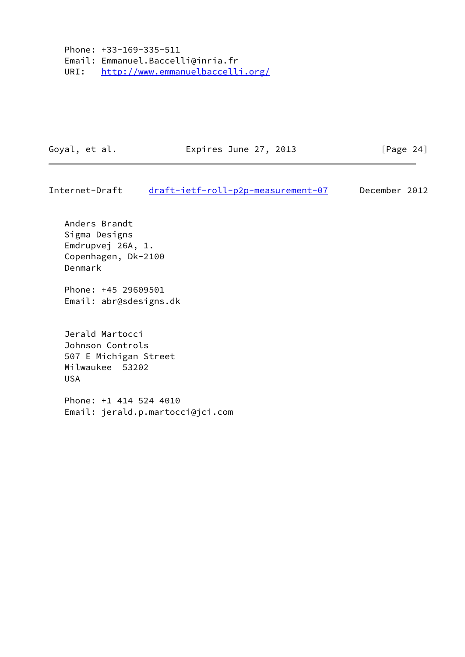Phone: +33-169-335-511 Email: Emmanuel.Baccelli@inria.fr URI: <http://www.emmanuelbaccelli.org/>

Goyal, et al. **Expires June 27, 2013** [Page 24]

Internet-Draft [draft-ietf-roll-p2p-measurement-07](https://datatracker.ietf.org/doc/pdf/draft-ietf-roll-p2p-measurement-07) December 2012

 Anders Brandt Sigma Designs Emdrupvej 26A, 1. Copenhagen, Dk-2100 Denmark

 Phone: +45 29609501 Email: abr@sdesigns.dk

 Jerald Martocci Johnson Controls 507 E Michigan Street Milwaukee 53202 USA

 Phone: +1 414 524 4010 Email: jerald.p.martocci@jci.com